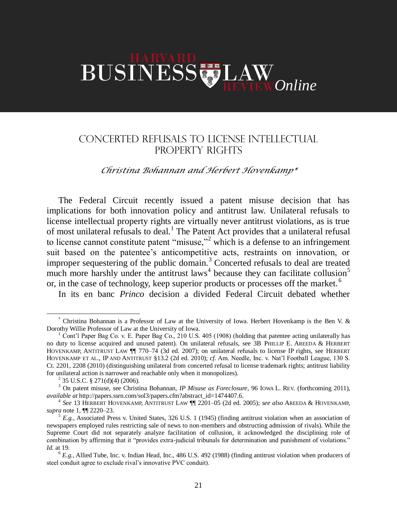## **BUSINESS**

## CONCERTED REFUSALS TO LICENSE INTELLECTUAL PROPERTY RIGHTS

## *Christina Bohannan and Herbert Hovenkamp\**

The Federal Circuit recently issued a patent misuse decision that has implications for both innovation policy and antitrust law. Unilateral refusals to license intellectual property rights are virtually never antitrust violations, as is true of most unilateral refusals to deal.<sup>1</sup> The Patent Act provides that a unilateral refusal to license cannot constitute patent "misuse,"<sup>2</sup> which is a defense to an infringement suit based on the patentee's anticompetitive acts, restraints on innovation, or improper sequestering of the public domain. $3$  Concerted refusals to deal are treated much more harshly under the antitrust  $laws<sup>4</sup>$  because they can facilitate collusion<sup>5</sup> or, in the case of technology, keep superior products or processes off the market.<sup>6</sup>

In its en banc *Princo* decision a divided Federal Circuit debated whether

 $\overline{a}$ 

<sup>\*</sup> Christina Bohannan is a Professor of Law at the University of Iowa. Herbert Hovenkamp is the Ben V. & Dorothy Willie Professor of Law at the University of Iowa.

 $1$  Cont'l Paper Bag Co. v. E. Paper Bag Co., 210 U.S. 405 (1908) (holding that patentee acting unilaterally has no duty to license acquired and unused patent). On unilateral refusals, see 3B PHILLIP E. AREEDA & HERBERT HOVENKAMP, ANTITRUST LAW ¶¶ 770–74 (3d ed. 2007); on unilateral refusals to license IP rights, see HERBERT HOVENKAMP ET AL., IP AND ANTITRUST §13.2 (2d ed. 2010); *cf.* Am. Needle, Inc. v. Nat'l Football League, 130 S. Ct. 2201, 2208 (2010) (distinguishing unilateral from concerted refusal to license trademark rights; antitrust liability for unilateral action is narrower and reachable only when it monopolizes).

 $2^{2}$  35 U.S.C. § 271(d)(4) (2006).

<sup>&</sup>lt;sup>3</sup> On patent misuse, see Christina Bohannan, *IP Misuse as Foreclosure*, 96 Iowa L. REV. (forthcoming 2011), *available at* http://papers.ssrn.com/sol3/papers.cfm?abstract\_id=1474407.6.

<sup>4</sup> *See* 13 HERBERT HOVENKAMP, ANTITRUST LAW ¶¶ 2201–05 (2d ed. 2005); *see also* AREEDA & HOVENKAMP, *supra* note 1, ¶¶ 2220–23.

 $5 E.g.,$  Associated Press v. United States, 326 U.S. 1 (1945) (finding antitrust violation when an association of newspapers employed rules restricting sale of news to non-members and obstructing admission of rivals). While the Supreme Court did not separately analyze facilitation of collusion, it acknowledged the disciplining role of combination by affirming that it "provides extra-judicial tribunals for determination and punishment of violations." *Id.* at 19.

 $6$   $E.g.,$  Allied Tube, Inc. v. Indian Head, Inc., 486 U.S. 492 (1988) (finding antitrust violation when producers of steel conduit agree to exclude rival's innovative PVC conduit).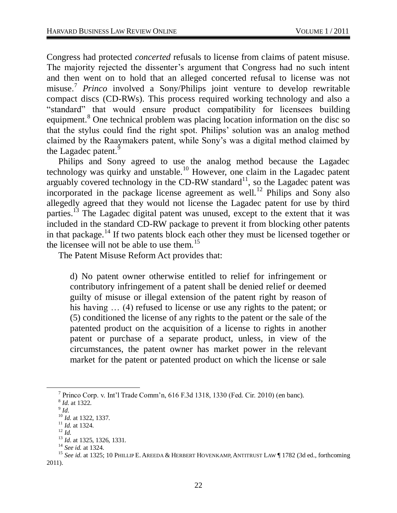Congress had protected *concerted* refusals to license from claims of patent misuse. The majority rejected the dissenter's argument that Congress had no such intent and then went on to hold that an alleged concerted refusal to license was not misuse.<sup>7</sup> *Princo* involved a Sony/Philips joint venture to develop rewritable compact discs (CD-RWs). This process required working technology and also a "standard" that would ensure product compatibility for licensees building equipment.<sup>8</sup> One technical problem was placing location information on the disc so that the stylus could find the right spot. Philips' solution was an analog method claimed by the Raaymakers patent, while Sony's was a digital method claimed by the Lagadec patent.<sup>9</sup>

Philips and Sony agreed to use the analog method because the Lagadec technology was quirky and unstable.<sup>10</sup> However, one claim in the Lagadec patent arguably covered technology in the CD-RW standard<sup>11</sup>, so the Lagadec patent was incorporated in the package license agreement as well.<sup>12</sup> Philips and Sony also allegedly agreed that they would not license the Lagadec patent for use by third parties.<sup>13</sup> The Lagadec digital patent was unused, except to the extent that it was included in the standard CD-RW package to prevent it from blocking other patents in that package.<sup>14</sup> If two patents block each other they must be licensed together or the licensee will not be able to use them.<sup>15</sup>

The Patent Misuse Reform Act provides that:

d) No patent owner otherwise entitled to relief for infringement or contributory infringement of a patent shall be denied relief or deemed guilty of misuse or illegal extension of the patent right by reason of his having  $\ldots$  (4) refused to license or use any rights to the patent; or (5) conditioned the license of any rights to the patent or the sale of the patented product on the acquisition of a license to rights in another patent or purchase of a separate product, unless, in view of the circumstances, the patent owner has market power in the relevant market for the patent or patented product on which the license or sale

 $\overline{a}$ 

<sup>7</sup> Princo Corp. v. Int'l Trade Comm'n, 616 F.3d 1318, 1330 (Fed. Cir. 2010) (en banc).

<sup>8</sup> *Id.* at 1322.

<sup>9</sup> *Id*.

<sup>10</sup> *Id.* at 1322, 1337.

<sup>11</sup> *Id.* at 1324.

 $12 \, Id.$ 

<sup>13</sup> *Id*. at 1325, 1326, 1331.

<sup>14</sup> *See id.* at 1324.

<sup>&</sup>lt;sup>15</sup> See id. at 1325; 10 PHILLIP E. AREEDA & HERBERT HOVENKAMP, ANTITRUST LAW | 1782 (3d ed., forthcoming 2011).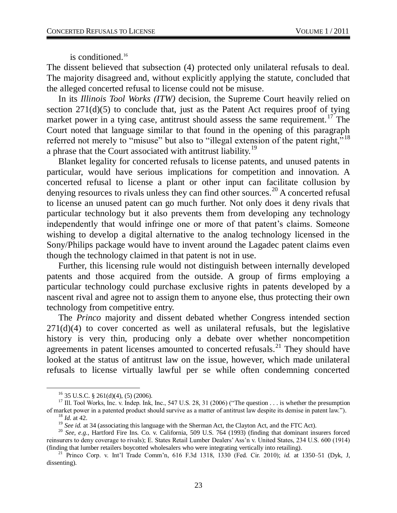is conditioned.<sup>16</sup>

The dissent believed that subsection (4) protected only unilateral refusals to deal. The majority disagreed and, without explicitly applying the statute, concluded that the alleged concerted refusal to license could not be misuse.

In its *Illinois Tool Works (ITW)* decision, the Supreme Court heavily relied on section  $271(d)(5)$  to conclude that, just as the Patent Act requires proof of tying market power in a tying case, antitrust should assess the same requirement.<sup>17</sup> The Court noted that language similar to that found in the opening of this paragraph referred not merely to "misuse" but also to "illegal extension of the patent right,"<sup>18</sup> a phrase that the Court associated with antitrust liability.<sup>19</sup>

Blanket legality for concerted refusals to license patents, and unused patents in particular, would have serious implications for competition and innovation. A concerted refusal to license a plant or other input can facilitate collusion by denying resources to rivals unless they can find other sources.<sup>20</sup> A concerted refusal to license an unused patent can go much further. Not only does it deny rivals that particular technology but it also prevents them from developing any technology independently that would infringe one or more of that patent's claims. Someone wishing to develop a digital alternative to the analog technology licensed in the Sony/Philips package would have to invent around the Lagadec patent claims even though the technology claimed in that patent is not in use.

Further, this licensing rule would not distinguish between internally developed patents and those acquired from the outside. A group of firms employing a particular technology could purchase exclusive rights in patents developed by a nascent rival and agree not to assign them to anyone else, thus protecting their own technology from competitive entry.

The *Princo* majority and dissent debated whether Congress intended section 271(d)(4) to cover concerted as well as unilateral refusals, but the legislative history is very thin, producing only a debate over whether noncompetition agreements in patent licenses amounted to concerted refusals.<sup>21</sup> They should have looked at the status of antitrust law on the issue, however, which made unilateral refusals to license virtually lawful per se while often condemning concerted

 $\overline{a}$ 

 $16$  35 U.S.C. § 261(d)(4), (5) (2006).

<sup>&</sup>lt;sup>17</sup> Ill. Tool Works, Inc. v. Indep. Ink, Inc., 547 U.S. 28, 31 (2006) ("The question . . . is whether the presumption of market power in a patented product should survive as a matter of antitrust law despite its demise in patent law.").

<sup>18</sup> *Id.* at 42.

<sup>&</sup>lt;sup>19</sup> *See id.* at 34 (associating this language with the Sherman Act, the Clayton Act, and the FTC Act).

<sup>20</sup> *See, e.g.*, Hartford Fire Ins. Co. v. California, 509 U.S. 764 (1993) (finding that dominant insurers forced reinsurers to deny coverage to rivals); E. States Retail Lumber Dealers' Ass'n v. United States, 234 U.S. 600 (1914) (finding that lumber retailers boycotted wholesalers who were integrating vertically into retailing).

<sup>21</sup> Princo Corp. v. Int'l Trade Comm'n, 616 F.3d 1318, 1330 (Fed. Cir. 2010); *id.* at 1350–51 (Dyk, J, dissenting).